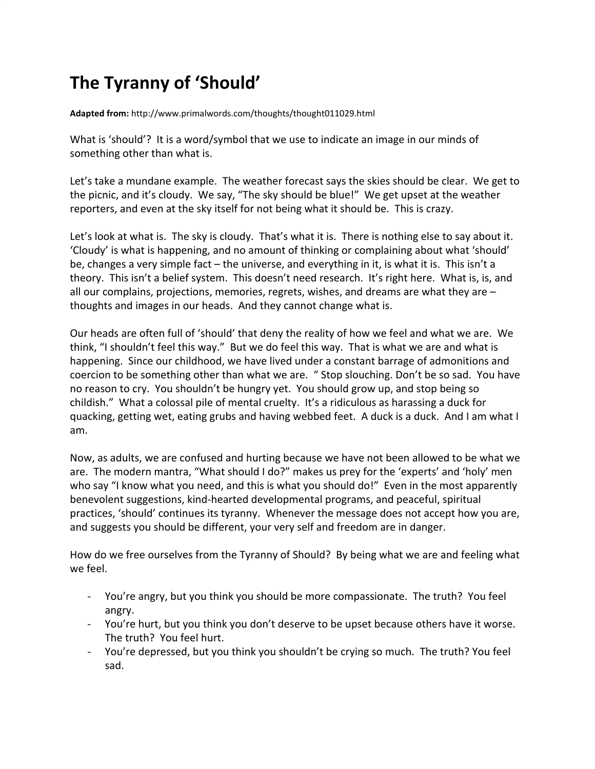## **The Tyranny of 'Should'**

**Adapted from:** http://www.primalwords.com/thoughts/thought011029.html

What is 'should'? It is a word/symbol that we use to indicate an image in our minds of something other than what is.

Let's take a mundane example. The weather forecast says the skies should be clear. We get to the picnic, and it's cloudy. We say, "The sky should be blue!" We get upset at the weather reporters, and even at the sky itself for not being what it should be. This is crazy.

Let's look at what is. The sky is cloudy. That's what it is. There is nothing else to say about it. 'Cloudy' is what is happening, and no amount of thinking or complaining about what 'should' be, changes a very simple fact – the universe, and everything in it, is what it is. This isn't a theory. This isn't a belief system. This doesn't need research. It's right here. What is, is, and all our complains, projections, memories, regrets, wishes, and dreams are what they are – thoughts and images in our heads. And they cannot change what is.

Our heads are often full of 'should' that deny the reality of how we feel and what we are. We think, "I shouldn't feel this way." But we do feel this way. That is what we are and what is happening. Since our childhood, we have lived under a constant barrage of admonitions and coercion to be something other than what we are. " Stop slouching. Don't be so sad. You have no reason to cry. You shouldn't be hungry yet. You should grow up, and stop being so childish." What a colossal pile of mental cruelty. It's a ridiculous as harassing a duck for quacking, getting wet, eating grubs and having webbed feet. A duck is a duck. And I am what I am.

Now, as adults, we are confused and hurting because we have not been allowed to be what we are. The modern mantra, "What should I do?" makes us prey for the 'experts' and 'holy' men who say "I know what you need, and this is what you should do!" Even in the most apparently benevolent suggestions, kind-hearted developmental programs, and peaceful, spiritual practices, 'should' continues its tyranny. Whenever the message does not accept how you are, and suggests you should be different, your very self and freedom are in danger.

How do we free ourselves from the Tyranny of Should? By being what we are and feeling what we feel.

- You're angry, but you think you should be more compassionate. The truth? You feel angry.
- You're hurt, but you think you don't deserve to be upset because others have it worse. The truth? You feel hurt.
- You're depressed, but you think you shouldn't be crying so much. The truth? You feel sad.